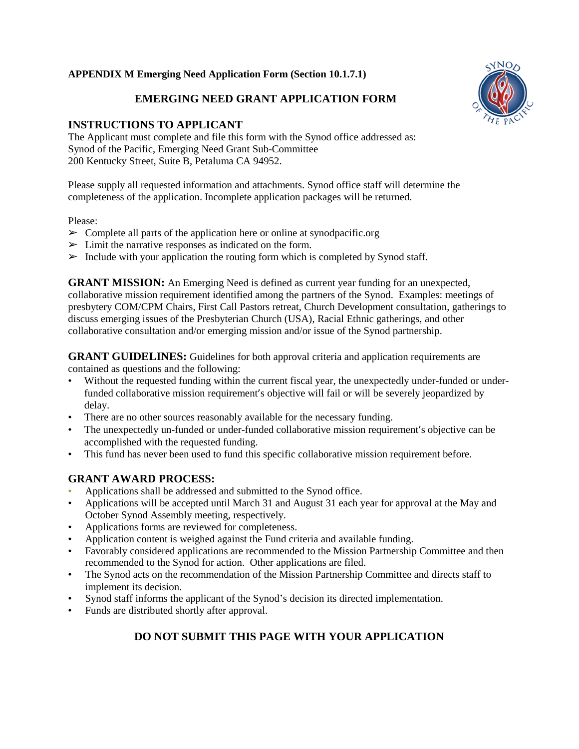#### **APPENDIX M Emerging Need Application Form (Section 10.1.7.1)**

# **EMERGING NEED GRANT APPLICATION FORM**

# **INSTRUCTIONS TO APPLICANT**

The Applicant must complete and file this form with the Synod office addressed as: Synod of the Pacific, Emerging Need Grant Sub-Committee 200 Kentucky Street, Suite B, Petaluma CA 94952.

Please supply all requested information and attachments. Synod office staff will determine the completeness of the application. Incomplete application packages will be returned.

#### Please:

- $\triangleright$  Complete all parts of the application here or online at synodpacific.org
- $\triangleright$  Limit the narrative responses as indicated on the form.
- $\triangleright$  Include with your application the routing form which is completed by Synod staff.

**GRANT MISSION:** An Emerging Need is defined as current year funding for an unexpected, collaborative mission requirement identified among the partners of the Synod. Examples: meetings of presbytery COM/CPM Chairs, First Call Pastors retreat, Church Development consultation, gatherings to discuss emerging issues of the Presbyterian Church (USA), Racial Ethnic gatherings, and other collaborative consultation and/or emerging mission and/or issue of the Synod partnership.

**GRANT GUIDELINES:** Guidelines for both approval criteria and application requirements are contained as questions and the following:

- Without the requested funding within the current fiscal year, the unexpectedly under-funded or underfunded collaborative mission requirement's objective will fail or will be severely jeopardized by delay.
- There are no other sources reasonably available for the necessary funding.
- The unexpectedly un-funded or under-funded collaborative mission requirement's objective can be accomplished with the requested funding.
- This fund has never been used to fund this specific collaborative mission requirement before.

## **GRANT AWARD PROCESS:**

- Applications shall be addressed and submitted to the Synod office.
- Applications will be accepted until March 31 and August 31 each year for approval at the May and October Synod Assembly meeting, respectively.
- Applications forms are reviewed for completeness.
- Application content is weighed against the Fund criteria and available funding.
- Favorably considered applications are recommended to the Mission Partnership Committee and then recommended to the Synod for action. Other applications are filed.
- The Synod acts on the recommendation of the Mission Partnership Committee and directs staff to implement its decision.
- Synod staff informs the applicant of the Synod's decision its directed implementation.
- Funds are distributed shortly after approval.

## **DO NOT SUBMIT THIS PAGE WITH YOUR APPLICATION**

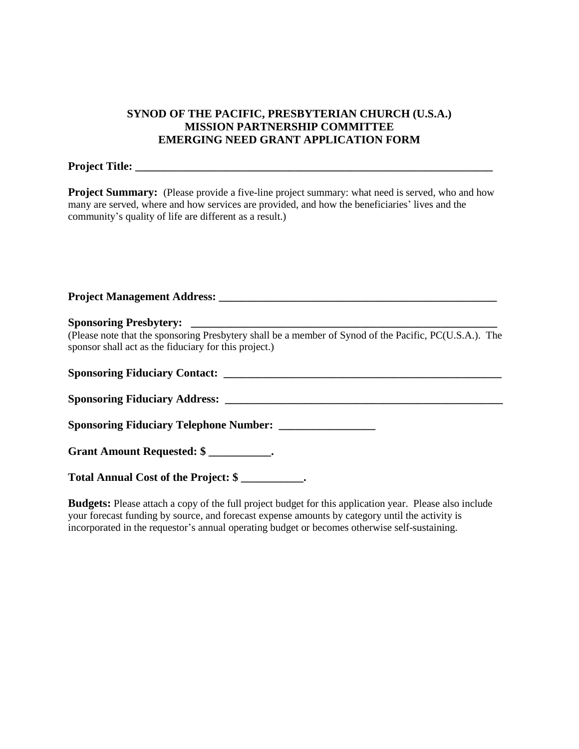## **SYNOD OF THE PACIFIC, PRESBYTERIAN CHURCH (U.S.A.) MISSION PARTNERSHIP COMMITTEE EMERGING NEED GRANT APPLICATION FORM**

#### **Project Title: \_\_\_\_\_\_\_\_\_\_\_\_\_\_\_\_\_\_\_\_\_\_\_\_\_\_\_\_\_\_\_\_\_\_\_\_\_\_\_\_\_\_\_\_\_\_\_\_\_\_\_\_\_\_\_\_\_\_\_\_\_\_\_**

**Project Summary:** (Please provide a five-line project summary: what need is served, who and how many are served, where and how services are provided, and how the beneficiaries' lives and the community's quality of life are different as a result.)

| (Please note that the sponsoring Presbytery shall be a member of Synod of the Pacific, PC(U.S.A.). The<br>sponsor shall act as the fiduciary for this project.)                                                                     |  |  |  |
|-------------------------------------------------------------------------------------------------------------------------------------------------------------------------------------------------------------------------------------|--|--|--|
| <b>Sponsoring Fiduciary Contact:</b> National Contract Sponsoring Fiduciary Contact: National Contract Sponsoring Transaction of the Contract Sponsoring Transaction of the Contract Sponsoring Transaction of the Contract Sponsor |  |  |  |
|                                                                                                                                                                                                                                     |  |  |  |
| <b>Sponsoring Fiduciary Telephone Number:</b>                                                                                                                                                                                       |  |  |  |
| Grant Amount Requested: \$                                                                                                                                                                                                          |  |  |  |
| Total Annual Cost of the Project: \$                                                                                                                                                                                                |  |  |  |

**Budgets:** Please attach a copy of the full project budget for this application year. Please also include your forecast funding by source, and forecast expense amounts by category until the activity is incorporated in the requestor's annual operating budget or becomes otherwise self-sustaining.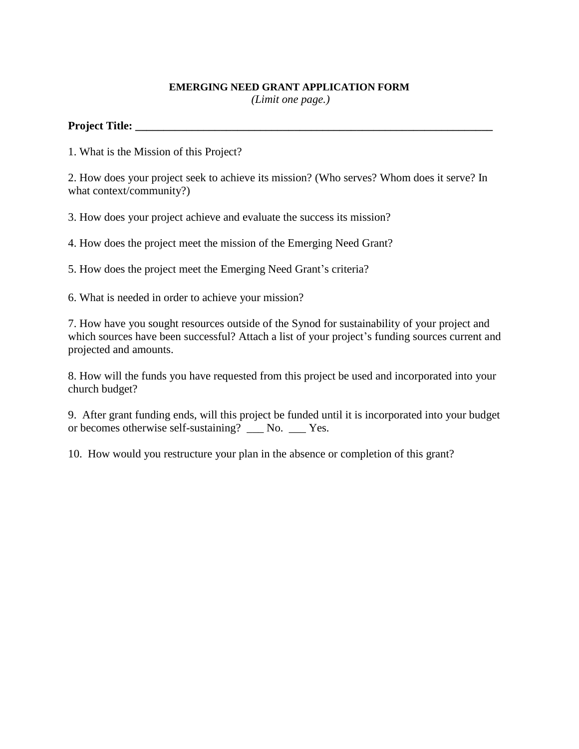#### **EMERGING NEED GRANT APPLICATION FORM**

*(Limit one page.)*

#### **Project Title: \_\_\_\_\_\_\_\_\_\_\_\_\_\_\_\_\_\_\_\_\_\_\_\_\_\_\_\_\_\_\_\_\_\_\_\_\_\_\_\_\_\_\_\_\_\_\_\_\_\_\_\_\_\_\_\_\_\_\_\_\_\_\_**

1. What is the Mission of this Project?

2. How does your project seek to achieve its mission? (Who serves? Whom does it serve? In what context/community?)

3. How does your project achieve and evaluate the success its mission?

4. How does the project meet the mission of the Emerging Need Grant?

5. How does the project meet the Emerging Need Grant's criteria?

6. What is needed in order to achieve your mission?

7. How have you sought resources outside of the Synod for sustainability of your project and which sources have been successful? Attach a list of your project's funding sources current and projected and amounts.

8. How will the funds you have requested from this project be used and incorporated into your church budget?

9. After grant funding ends, will this project be funded until it is incorporated into your budget or becomes otherwise self-sustaining? \_\_\_ No. \_\_\_ Yes.

10. How would you restructure your plan in the absence or completion of this grant?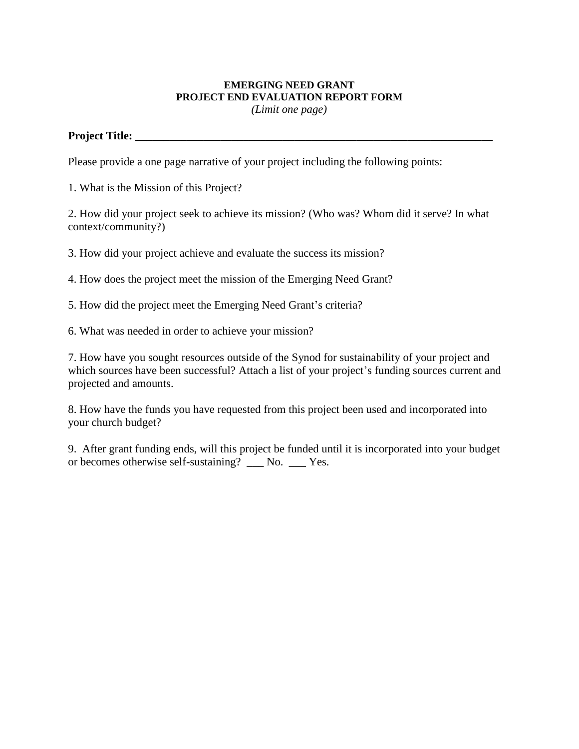# **EMERGING NEED GRANT PROJECT END EVALUATION REPORT FORM**

*(Limit one page)*

## **Project Title: \_\_\_\_\_\_\_\_\_\_\_\_\_\_\_\_\_\_\_\_\_\_\_\_\_\_\_\_\_\_\_\_\_\_\_\_\_\_\_\_\_\_\_\_\_\_\_\_\_\_\_\_\_\_\_\_\_\_\_\_\_\_\_**

Please provide a one page narrative of your project including the following points:

1. What is the Mission of this Project?

2. How did your project seek to achieve its mission? (Who was? Whom did it serve? In what context/community?)

3. How did your project achieve and evaluate the success its mission?

4. How does the project meet the mission of the Emerging Need Grant?

5. How did the project meet the Emerging Need Grant's criteria?

6. What was needed in order to achieve your mission?

7. How have you sought resources outside of the Synod for sustainability of your project and which sources have been successful? Attach a list of your project's funding sources current and projected and amounts.

8. How have the funds you have requested from this project been used and incorporated into your church budget?

9. After grant funding ends, will this project be funded until it is incorporated into your budget or becomes otherwise self-sustaining? \_\_\_ No. \_\_\_ Yes.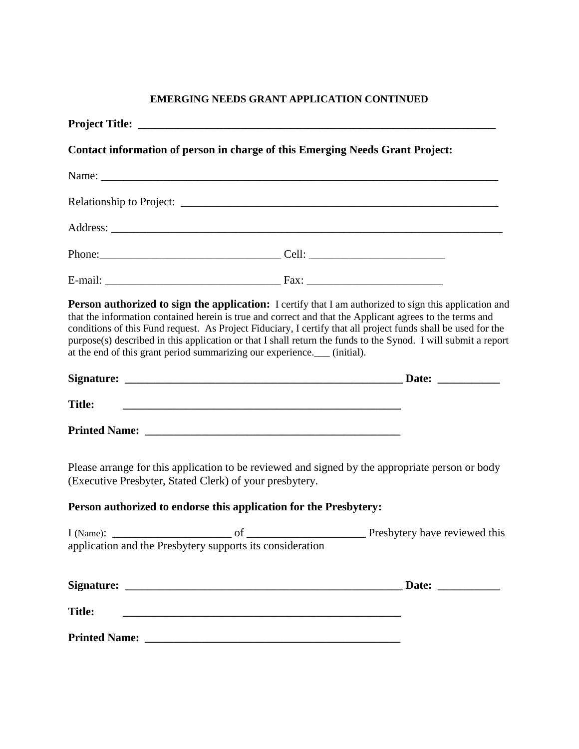## **EMERGING NEEDS GRANT APPLICATION CONTINUED**

|               | Contact information of person in charge of this Emerging Needs Grant Project: |                                                                                                                                                                                                                                                                                                                                                                                                                                                       |  |
|---------------|-------------------------------------------------------------------------------|-------------------------------------------------------------------------------------------------------------------------------------------------------------------------------------------------------------------------------------------------------------------------------------------------------------------------------------------------------------------------------------------------------------------------------------------------------|--|
|               |                                                                               |                                                                                                                                                                                                                                                                                                                                                                                                                                                       |  |
|               |                                                                               |                                                                                                                                                                                                                                                                                                                                                                                                                                                       |  |
|               |                                                                               |                                                                                                                                                                                                                                                                                                                                                                                                                                                       |  |
|               |                                                                               |                                                                                                                                                                                                                                                                                                                                                                                                                                                       |  |
|               |                                                                               |                                                                                                                                                                                                                                                                                                                                                                                                                                                       |  |
|               | at the end of this grant period summarizing our experience.___ (initial).     | Person authorized to sign the application: I certify that I am authorized to sign this application and<br>that the information contained herein is true and correct and that the Applicant agrees to the terms and<br>conditions of this Fund request. As Project Fiduciary, I certify that all project funds shall be used for the<br>purpose(s) described in this application or that I shall return the funds to the Synod. I will submit a report |  |
|               |                                                                               |                                                                                                                                                                                                                                                                                                                                                                                                                                                       |  |
| <b>Title:</b> |                                                                               |                                                                                                                                                                                                                                                                                                                                                                                                                                                       |  |
|               |                                                                               |                                                                                                                                                                                                                                                                                                                                                                                                                                                       |  |
|               | (Executive Presbyter, Stated Clerk) of your presbytery.                       | Please arrange for this application to be reviewed and signed by the appropriate person or body                                                                                                                                                                                                                                                                                                                                                       |  |
|               | Person authorized to endorse this application for the Presbytery:             |                                                                                                                                                                                                                                                                                                                                                                                                                                                       |  |
|               |                                                                               |                                                                                                                                                                                                                                                                                                                                                                                                                                                       |  |
|               |                                                                               | Date: $\qquad \qquad$                                                                                                                                                                                                                                                                                                                                                                                                                                 |  |
| <b>Title:</b> |                                                                               |                                                                                                                                                                                                                                                                                                                                                                                                                                                       |  |
|               |                                                                               |                                                                                                                                                                                                                                                                                                                                                                                                                                                       |  |